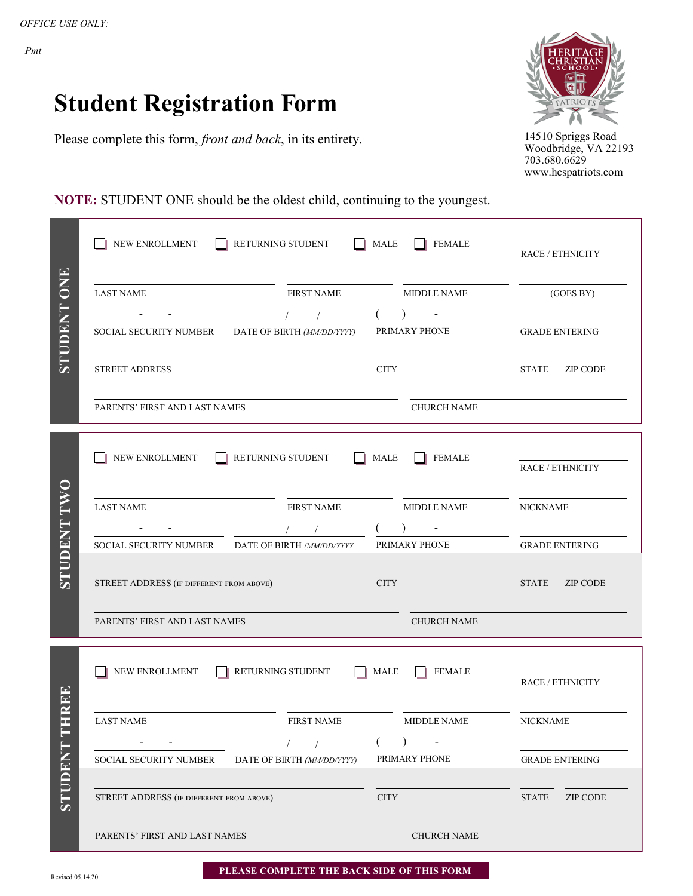## **Student Registration Form**

Please complete this form, *front and back*, in its entirety.



14510 Spriggs Road Woodbridge, VA 22193 703.680.6629 www.hcspatriots.com

## **NOTE:** STUDENT ONE should be the oldest child, continuing to the youngest.

|                 | NEW ENROLLMENT                                       | RETURNING STUDENT          | <b>MALE</b>                           | <b>FEMALE</b>      |                                 |  |
|-----------------|------------------------------------------------------|----------------------------|---------------------------------------|--------------------|---------------------------------|--|
|                 |                                                      |                            |                                       |                    | RACE / ETHNICITY                |  |
| ONE             | <b>LAST NAME</b>                                     | <b>FIRST NAME</b>          |                                       | <b>MIDDLE NAME</b> | (GOES BY)                       |  |
|                 |                                                      |                            |                                       |                    |                                 |  |
| <b>TNACILLS</b> | SOCIAL SECURITY NUMBER                               | DATE OF BIRTH (MM/DD/YYYY) |                                       | PRIMARY PHONE      | <b>GRADE ENTERING</b>           |  |
|                 | STREET ADDRESS                                       |                            | <b>CITY</b>                           |                    | <b>STATE</b><br><b>ZIP CODE</b> |  |
|                 | PARENTS' FIRST AND LAST NAMES                        |                            |                                       | <b>CHURCH NAME</b> |                                 |  |
|                 | NEW ENROLLMENT<br>RETURNING STUDENT                  | RACE / ETHNICITY           |                                       |                    |                                 |  |
|                 | <b>LAST NAME</b>                                     | <b>FIRST NAME</b>          |                                       | <b>MIDDLE NAME</b> | <b>NICKNAME</b>                 |  |
|                 |                                                      | $\sqrt{2}$                 |                                       | PRIMARY PHONE      |                                 |  |
| UDENT           | SOCIAL SECURITY NUMBER<br>DATE OF BIRTH (MM/DD/YYYY  | <b>GRADE ENTERING</b>      |                                       |                    |                                 |  |
|                 | STREET ADDRESS (IF DIFFERENT FROM ABOVE)             |                            | <b>CITY</b>                           |                    | <b>STATE</b><br>ZIP CODE        |  |
|                 | PARENTS' FIRST AND LAST NAMES                        |                            |                                       |                    |                                 |  |
|                 |                                                      |                            | <b>MALE</b>                           | <b>FEMALE</b>      |                                 |  |
| REPE            | NEW ENROLLMENT<br>RETURNING STUDENT                  | <b>RACE / ETHNICITY</b>    |                                       |                    |                                 |  |
|                 | <b>LAST NAME</b>                                     | <b>FIRST NAME</b>          |                                       | <b>MIDDLE NAME</b> | <b>NICKNAME</b>                 |  |
|                 | $\sqrt{2}$                                           |                            | $\sim$ $\sim$ $\sim$<br>$\mathcal{L}$ | )                  |                                 |  |
|                 | SOCIAL SECURITY NUMBER<br>DATE OF BIRTH (MM/DD/YYYY) |                            |                                       | PRIMARY PHONE      | <b>GRADE ENTERING</b>           |  |
| <b>TNACOLS</b>  | STREET ADDRESS (IF DIFFERENT FROM ABOVE)             |                            | $\rm CITY$                            |                    | <b>STATE</b><br><b>ZIP CODE</b> |  |
|                 | PARENTS' FIRST AND LAST NAMES                        |                            |                                       | CHURCH NAME        |                                 |  |